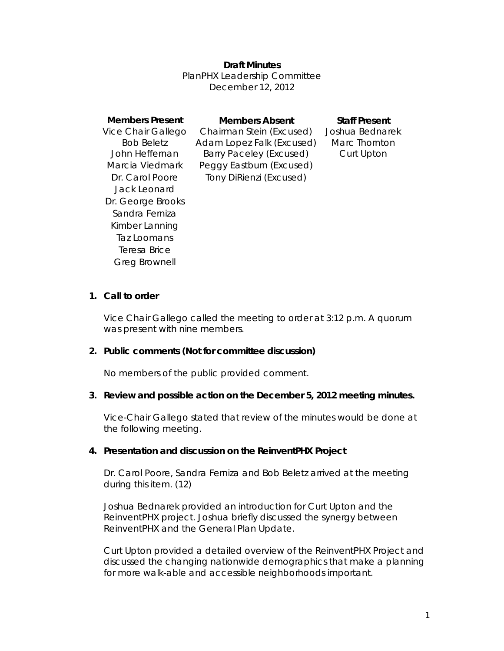### **Draft Minutes**

PlanPHX Leadership Committee December 12, 2012

| <b>Members Present</b> | <b>Members Absent</b>          | <b>Staff Present</b> |
|------------------------|--------------------------------|----------------------|
| Vice Chair Gallego     | Chairman Stein (Excused)       | Joshua Bednarek      |
| <b>Bob Beletz</b>      | Adam Lopez Falk (Excused)      | Marc Thornton        |
| John Heffernan         | <b>Barry Paceley (Excused)</b> | Curt Upton           |
| Marcia Viedmark        | Peggy Eastburn (Excused)       |                      |
| Dr. Carol Poore        | Tony DiRienzi (Excused)        |                      |
| Jack Leonard           |                                |                      |
| Dr. George Brooks      |                                |                      |
| Sandra Ferniza         |                                |                      |
| Kimber Lanning         |                                |                      |
| Taz Loomans            |                                |                      |
| Teresa Brice           |                                |                      |

#### **1. Call to order**

Greg Brownell

Vice Chair Gallego called the meeting to order at 3:12 p.m. A quorum was present with nine members.

#### **2. Public comments (Not for committee discussion)**

No members of the public provided comment.

#### **3. Review and possible action on the December 5, 2012 meeting minutes.**

Vice-Chair Gallego stated that review of the minutes would be done at the following meeting.

#### **4. Presentation and discussion on the ReinventPHX Project**

*Dr. Carol Poore, Sandra Ferniza and Bob Beletz arrived at the meeting during this item. (12)* 

Joshua Bednarek provided an introduction for Curt Upton and the ReinventPHX project. Joshua briefly discussed the synergy between ReinventPHX and the General Plan Update.

Curt Upton provided a detailed overview of the ReinventPHX Project and discussed the changing nationwide demographics that make a planning for more walk-able and accessible neighborhoods important.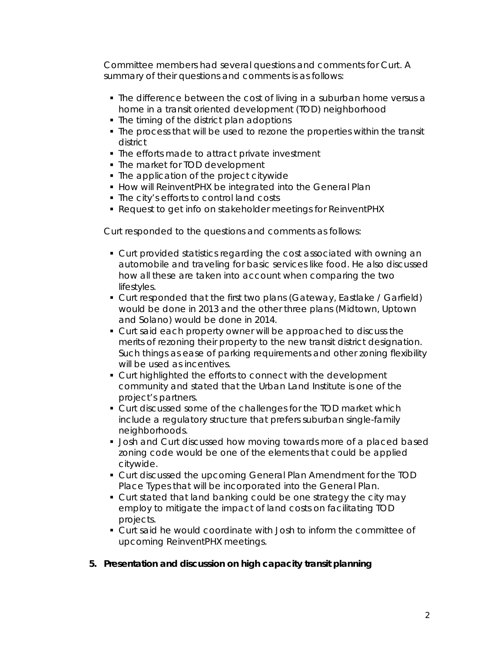Committee members had several questions and comments for Curt. A summary of their questions and comments is as follows:

- The difference between the cost of living in a suburban home versus a home in a transit oriented development (TOD) neighborhood
- The timing of the district plan adoptions
- The process that will be used to rezone the properties within the transit district
- The efforts made to attract private investment
- The market for TOD development
- The application of the project citywide
- **How will ReinventPHX be integrated into the General Plan**
- The city's efforts to control land costs
- Request to get info on stakeholder meetings for ReinventPHX

Curt responded to the questions and comments as follows:

- Curt provided statistics regarding the cost associated with owning an automobile and traveling for basic services like food. He also discussed how all these are taken into account when comparing the two lifestyles.
- Curt responded that the first two plans (Gateway, Eastlake / Garfield) would be done in 2013 and the other three plans (Midtown, Uptown and Solano) would be done in 2014.
- **Curt said each property owner will be approached to discuss the** merits of rezoning their property to the new transit district designation. Such things as ease of parking requirements and other zoning flexibility will be used as incentives.
- Curt highlighted the efforts to connect with the development community and stated that the Urban Land Institute is one of the project's partners.
- **Curt discussed some of the challenges for the TOD market which** include a regulatory structure that prefers suburban single-family neighborhoods.
- **Josh and Curt discussed how moving towards more of a placed based** zoning code would be one of the elements that could be applied citywide.
- Curt discussed the upcoming General Plan Amendment for the TOD Place Types that will be incorporated into the General Plan.
- **Curt stated that land banking could be one strategy the city may** employ to mitigate the impact of land costs on facilitating TOD projects.
- Curt said he would coordinate with Josh to inform the committee of upcoming ReinventPHX meetings.

## **5. Presentation and discussion on high capacity transit planning**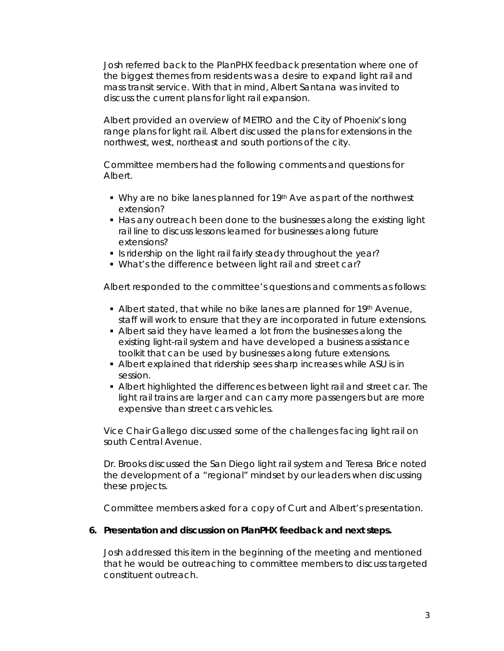Josh referred back to the PlanPHX feedback presentation where one of the biggest themes from residents was a desire to expand light rail and mass transit service. With that in mind, Albert Santana was invited to discuss the current plans for light rail expansion.

Albert provided an overview of METRO and the City of Phoenix's long range plans for light rail. Albert discussed the plans for extensions in the northwest, west, northeast and south portions of the city.

Committee members had the following comments and questions for Albert.

- Why are no bike lanes planned for 19<sup>th</sup> Ave as part of the northwest extension?
- Has any outreach been done to the businesses along the existing light rail line to discuss lessons learned for businesses along future extensions?
- If is ridership on the light rail fairly steady throughout the year?
- What's the difference between light rail and street car?

Albert responded to the committee's questions and comments as follows:

- Albert stated, that while no bike lanes are planned for 19th Avenue, staff will work to ensure that they are incorporated in future extensions.
- Albert said they have learned a lot from the businesses along the existing light-rail system and have developed a business assistance toolkit that can be used by businesses along future extensions.
- Albert explained that ridership sees sharp increases while ASU is in session.
- Albert highlighted the differences between light rail and street car. The light rail trains are larger and can carry more passengers but are more expensive than street cars vehicles.

Vice Chair Gallego discussed some of the challenges facing light rail on south Central Avenue.

Dr. Brooks discussed the San Diego light rail system and Teresa Brice noted the development of a "regional" mindset by our leaders when discussing these projects.

Committee members asked for a copy of Curt and Albert's presentation.

## **6. Presentation and discussion on PlanPHX feedback and next steps.**

Josh addressed this item in the beginning of the meeting and mentioned that he would be outreaching to committee members to discuss targeted constituent outreach.